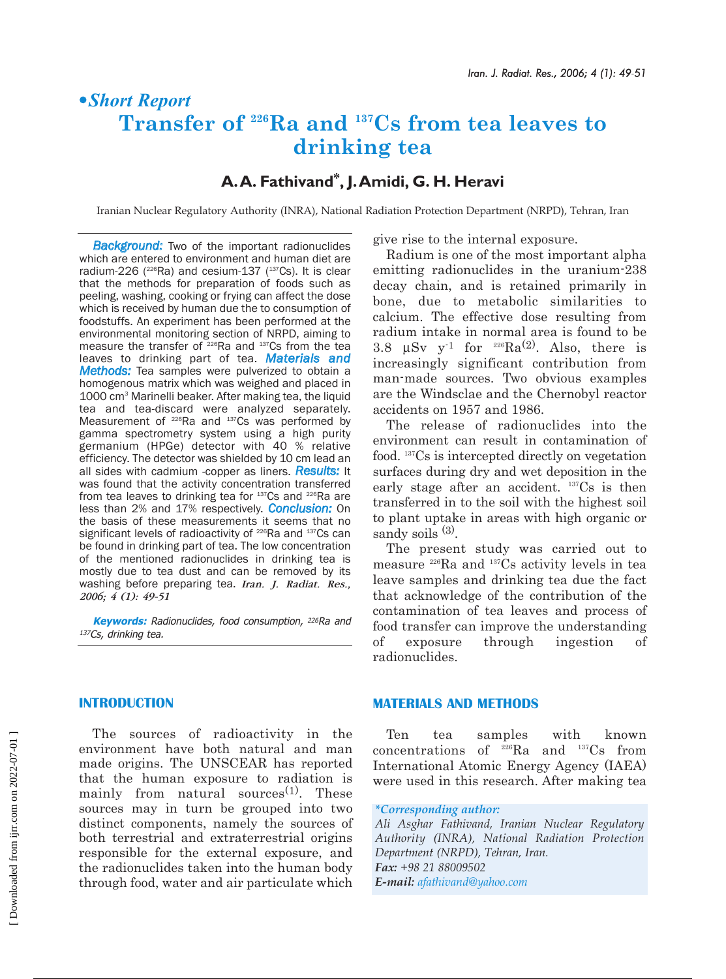# §*| Short Report*  **Transfer of 226Ra and 137Cs from tea leaves to drinking tea**

# **A.A. Fathivand\*, J.Amidi, G. H. Heravi**

Iranian Nuclear Regulatory Authority (INRA), National Radiation Protection Department (NRPD), Tehran, Iran

*Background:* Two of the important radionuclides which are entered to environment and human diet are radium-226  $(^{226}Ra)$  and cesium-137  $(^{137}Cs)$ . It is clear that the methods for preparation of foods such as peeling, washing, cooking or frying can affect the dose which is received by human due the to consumption of foodstuffs. An experiment has been performed at the environmental monitoring section of NRPD, aiming to measure the transfer of <sup>226</sup>Ra and <sup>137</sup>Cs from the tea leaves to drinking part of tea. *Materials and Methods:* Tea samples were pulverized to obtain a homogenous matrix which was weighed and placed in 1000 cm3 Marinelli beaker. After making tea, the liquid tea and tea-discard were analyzed separately. Measurement of <sup>226</sup>Ra and <sup>137</sup>Cs was performed by gamma spectrometry system using a high purity germanium (HPGe) detector with 40 % relative efficiency. The detector was shielded by 10 cm lead an all sides with cadmium -copper as liners. *Results:* It was found that the activity concentration transferred from tea leaves to drinking tea for 137Cs and <sup>226</sup>Ra are less than 2% and 17% respectively. *Conclusion:* On the basis of these measurements it seems that no significant levels of radioactivity of <sup>226</sup>Ra and <sup>137</sup>Cs can be found in drinking part of tea. The low concentration of the mentioned radionuclides in drinking tea is mostly due to tea dust and can be removed by its washing before preparing tea. *Iran. J. Radiat. Res., 2006; 4 (1): 49-51*

**Keywords:** Radionuclides, food consumption, 226Ra and <sup>137</sup>Cs, drinking tea.

give rise to the internal exposure.

Radium is one of the most important alpha emitting radionuclides in the uranium-238 decay chain, and is retained primarily in bone, due to metabolic similarities to calcium. The effective dose resulting from radium intake in normal area is found to be 3.8  $\mu Sv$  y<sup>-1</sup> for <sup>226</sup>Ra<sup>(2)</sup>. Also, there is increasingly significant contribution from man-made sources. Two obvious examples are the Windsclae and the Chernobyl reactor accidents on 1957 and 1986.

The release of radionuclides into the environment can result in contamination of food. 137Cs is intercepted directly on vegetation surfaces during dry and wet deposition in the early stage after an accident. <sup>137</sup>Cs is then transferred in to the soil with the highest soil to plant uptake in areas with high organic or sandy soils  $(3)$ .

The present study was carried out to measure 226Ra and 137Cs activity levels in tea leave samples and drinking tea due the fact that acknowledge of the contribution of the contamination of tea leaves and process of food transfer can improve the understanding of exposure through ingestion of radionuclides.

### **INTRODUCTION**

The sources of radioactivity in the environment have both natural and man made origins. The UNSCEAR has reported that the human exposure to radiation is mainly from natural sources $(1)$ . These sources may in turn be grouped into two distinct components, namely the sources of both terrestrial and extraterrestrial origins responsible for the external exposure, and the radionuclides taken into the human body through food, water and air particulate which

#### **MATERIALS AND METHODS**

Ten tea samples with known concentrations of  ${}^{226}\text{Ra}$  and  ${}^{137}\text{Cs}$  from International Atomic Energy Agency (IAEA) were used in this research. After making tea

*Ali Asghar Fathivand, Iranian Nuclear Regulatory Authority (INRA), National Radiation Protection Department (NRPD), Tehran, Iran. Fax: +98 21 88009502 E-mail: afathivand@yahoo.com*

*<sup>\*</sup>Corresponding author:*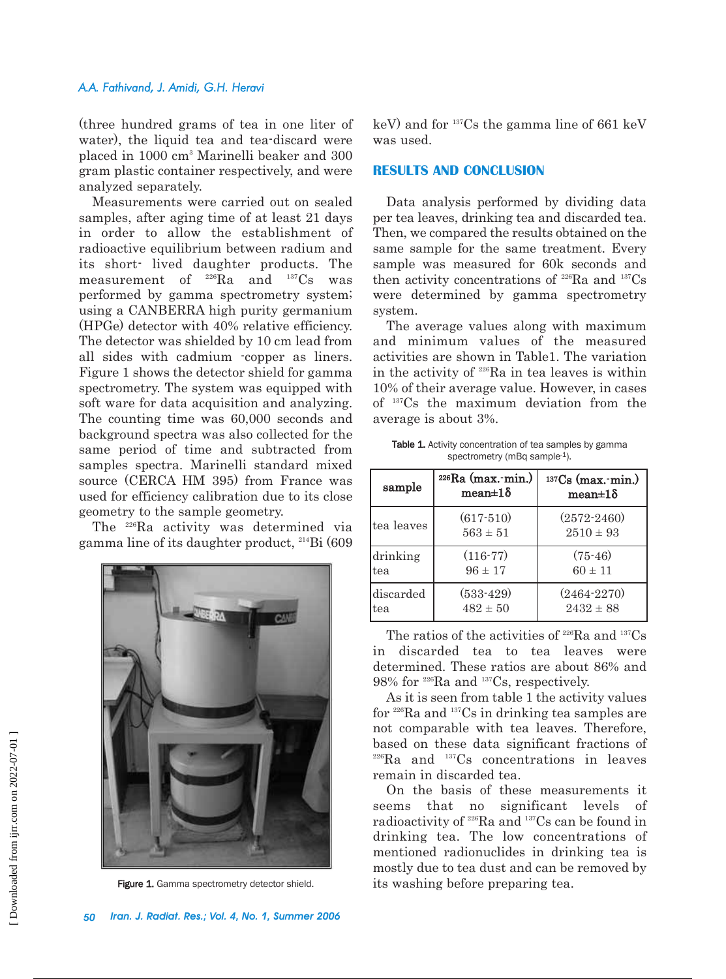#### *A.A. Fathivand, J. Amidi, G.H. Heravi*

(three hundred grams of tea in one liter of water), the liquid tea and tea-discard were placed in 1000 cm3 Marinelli beaker and 300 gram plastic container respectively, and were analyzed separately.

Measurements were carried out on sealed samples, after aging time of at least 21 days in order to allow the establishment of radioactive equilibrium between radium and its short- lived daughter products. The measurement of 226Ra and 137Cs was performed by gamma spectrometry system; using a CANBERRA high purity germanium (HPGe) detector with 40% relative efficiency. The detector was shielded by 10 cm lead from all sides with cadmium -copper as liners. Figure 1 shows the detector shield for gamma spectrometry. The system was equipped with soft ware for data acquisition and analyzing. The counting time was 60,000 seconds and background spectra was also collected for the same period of time and subtracted from samples spectra. Marinelli standard mixed source (CERCA HM 395) from France was used for efficiency calibration due to its close geometry to the sample geometry.

The 226Ra activity was determined via gamma line of its daughter product, 214Bi (609



keV) and for 137Cs the gamma line of 661 keV was used.

#### **RESULTS AND CONCLUSION**

Data analysis performed by dividing data per tea leaves, drinking tea and discarded tea. Then, we compared the results obtained on the same sample for the same treatment. Every sample was measured for 60k seconds and then activity concentrations of  $226$ Ra and  $137$ Cs were determined by gamma spectrometry system.

The average values along with maximum and minimum values of the measured activities are shown in Table1. The variation in the activity of 226Ra in tea leaves is within 10% of their average value. However, in cases of 137Cs the maximum deviation from the average is about 3%.

| <b>Table 1.</b> Activity concentration of tea samples by gamma |  |
|----------------------------------------------------------------|--|
| spectrometry (mBq sample-1).                                   |  |

| sample      | $226Ra$ (max. min.)<br>$mean \pm 1\delta$ | $137CS$ (max. min.)<br>$mean \pm 1\delta$ |
|-------------|-------------------------------------------|-------------------------------------------|
| ltea leaves | $(617 - 510)$<br>$563 \pm 51$             | $(2572 - 2460)$<br>$2510 \pm 93$          |
| drinking    | $(116-77)$                                | $(75-46)$                                 |
| tea         | $96 \pm 17$                               | $60 \pm 11$                               |
| discarded   | $(533-429)$                               | $(2464 - 2270)$                           |
| tea         | $482 \pm 50$                              | $2432 \pm 88$                             |

The ratios of the activities of  $226Ra$  and  $137Cs$ in discarded tea to tea leaves were determined. These ratios are about 86% and 98% for 226Ra and 137Cs, respectively.

As it is seen from table 1 the activity values for 226Ra and 137Cs in drinking tea samples are not comparable with tea leaves. Therefore, based on these data significant fractions of 226Ra and 137Cs concentrations in leaves remain in discarded tea.

On the basis of these measurements it seems that no significant levels of radioactivity of 226Ra and 137Cs can be found in drinking tea. The low concentrations of mentioned radionuclides in drinking tea is mostly due to tea dust and can be removed by Figure 1. Gamma spectrometry detector shield. its washing before preparing tea.